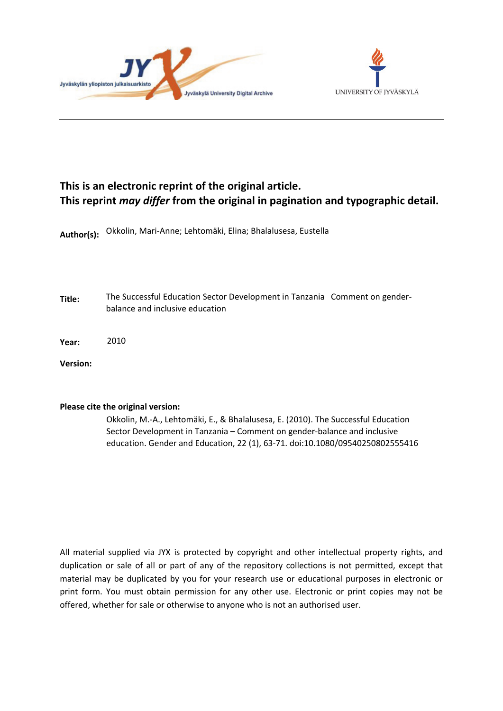



# **This is an electronic reprint of the original article. This reprint** *may differ* **from the original in pagination and typographic detail.**

**Author(s):**  Okkolin, Mari-Anne; Lehtomäki, Elina; Bhalalusesa, Eustella

**Title:** The Successful Education Sector Development in Tanzania Comment on genderbalance and inclusive education

**Year:**  2010

**Version:**

## **Please cite the original version:**

Okkolin, M.-A., Lehtomäki, E., & Bhalalusesa, E. (2010). The Successful Education Sector Development in Tanzania – Comment on gender-balance and inclusive education. Gender and Education, 22 (1), 63-71. doi:10.1080/09540250802555416

All material supplied via JYX is protected by copyright and other intellectual property rights, and duplication or sale of all or part of any of the repository collections is not permitted, except that material may be duplicated by you for your research use or educational purposes in electronic or print form. You must obtain permission for any other use. Electronic or print copies may not be offered, whether for sale or otherwise to anyone who is not an authorised user.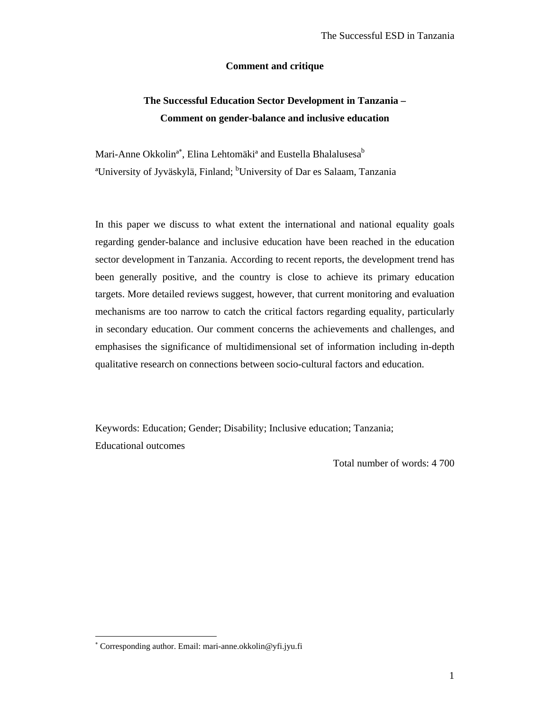## **Comment and critique**

## **The Successful Education Sector Development in Tanzania – Comment on gender-balance and inclusive education**

Mari-Anne Okkolin<sup>a\*</sup>, Elina Lehtomäki<sup>a</sup> and Eustella Bhalalusesa<sup>b</sup> <sup>a</sup>University of Jyväskylä, Finland; <sup>b</sup>University of Dar es Salaam, Tanzania

In this paper we discuss to what extent the international and national equality goals regarding gender-balance and inclusive education have been reached in the education sector development in Tanzania. According to recent reports, the development trend has been generally positive, and the country is close to achieve its primary education targets. More detailed reviews suggest, however, that current monitoring and evaluation mechanisms are too narrow to catch the critical factors regarding equality, particularly in secondary education. Our comment concerns the achievements and challenges, and emphasises the significance of multidimensional set of information including in-depth qualitative research on connections between socio-cultural factors and education.

Keywords: Education; Gender; Disability; Inclusive education; Tanzania; Educational outcomes

Total number of words: 4 700

 $\overline{a}$ 

 Corresponding author. Email: mari-anne.okkolin@yfi.jyu.fi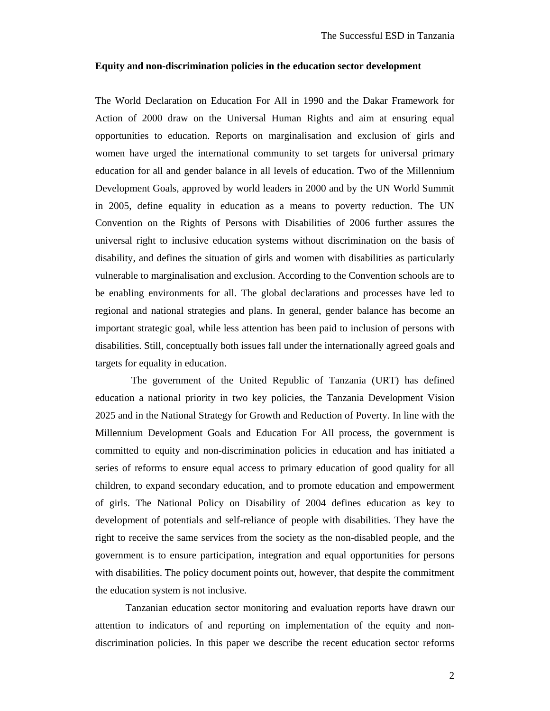#### **Equity and non-discrimination policies in the education sector development**

The World Declaration on Education For All in 1990 and the Dakar Framework for Action of 2000 draw on the Universal Human Rights and aim at ensuring equal opportunities to education. Reports on marginalisation and exclusion of girls and women have urged the international community to set targets for universal primary education for all and gender balance in all levels of education. Two of the Millennium Development Goals, approved by world leaders in 2000 and by the UN World Summit in 2005, define equality in education as a means to poverty reduction. The UN Convention on the Rights of Persons with Disabilities of 2006 further assures the universal right to inclusive education systems without discrimination on the basis of disability, and defines the situation of girls and women with disabilities as particularly vulnerable to marginalisation and exclusion. According to the Convention schools are to be enabling environments for all. The global declarations and processes have led to regional and national strategies and plans. In general, gender balance has become an important strategic goal, while less attention has been paid to inclusion of persons with disabilities. Still, conceptually both issues fall under the internationally agreed goals and targets for equality in education.

The government of the United Republic of Tanzania (URT) has defined education a national priority in two key policies, the Tanzania Development Vision 2025 and in the National Strategy for Growth and Reduction of Poverty. In line with the Millennium Development Goals and Education For All process, the government is committed to equity and non-discrimination policies in education and has initiated a series of reforms to ensure equal access to primary education of good quality for all children, to expand secondary education, and to promote education and empowerment of girls. The National Policy on Disability of 2004 defines education as key to development of potentials and self-reliance of people with disabilities. They have the right to receive the same services from the society as the non-disabled people, and the government is to ensure participation, integration and equal opportunities for persons with disabilities. The policy document points out, however, that despite the commitment the education system is not inclusive.

Tanzanian education sector monitoring and evaluation reports have drawn our attention to indicators of and reporting on implementation of the equity and nondiscrimination policies. In this paper we describe the recent education sector reforms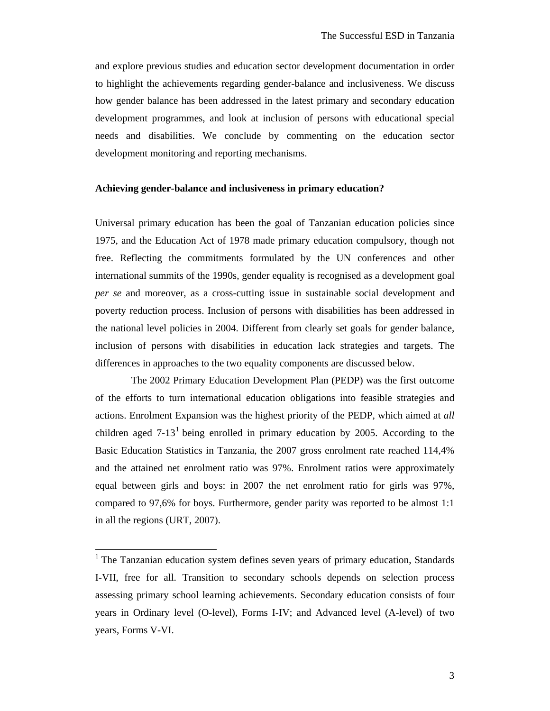and explore previous studies and education sector development documentation in order to highlight the achievements regarding gender-balance and inclusiveness. We discuss how gender balance has been addressed in the latest primary and secondary education development programmes, and look at inclusion of persons with educational special needs and disabilities. We conclude by commenting on the education sector development monitoring and reporting mechanisms.

#### **Achieving gender-balance and inclusiveness in primary education?**

Universal primary education has been the goal of Tanzanian education policies since 1975, and the Education Act of 1978 made primary education compulsory, though not free. Reflecting the commitments formulated by the UN conferences and other international summits of the 1990s, gender equality is recognised as a development goal *per se* and moreover, as a cross-cutting issue in sustainable social development and poverty reduction process. Inclusion of persons with disabilities has been addressed in the national level policies in 2004. Different from clearly set goals for gender balance, inclusion of persons with disabilities in education lack strategies and targets. The differences in approaches to the two equality components are discussed below.

The 2002 Primary Education Development Plan (PEDP) was the first outcome of the efforts to turn international education obligations into feasible strategies and actions. Enrolment Expansion was the highest priority of the PEDP, which aimed at *all*  children aged  $7-13<sup>1</sup>$  being enrolled in primary education by 2005. According to the Basic Education Statistics in Tanzania, the 2007 gross enrolment rate reached 114,4% and the attained net enrolment ratio was 97%. Enrolment ratios were approximately equal between girls and boys: in 2007 the net enrolment ratio for girls was 97%, compared to 97,6% for boys. Furthermore, gender parity was reported to be almost 1:1 in all the regions (URT, 2007).

<sup>&</sup>lt;sup>1</sup> The Tanzanian education system defines seven years of primary education, Standards I-VII, free for all. Transition to secondary schools depends on selection process assessing primary school learning achievements. Secondary education consists of four years in Ordinary level (O-level), Forms I-IV; and Advanced level (A-level) of two years, Forms V-VI.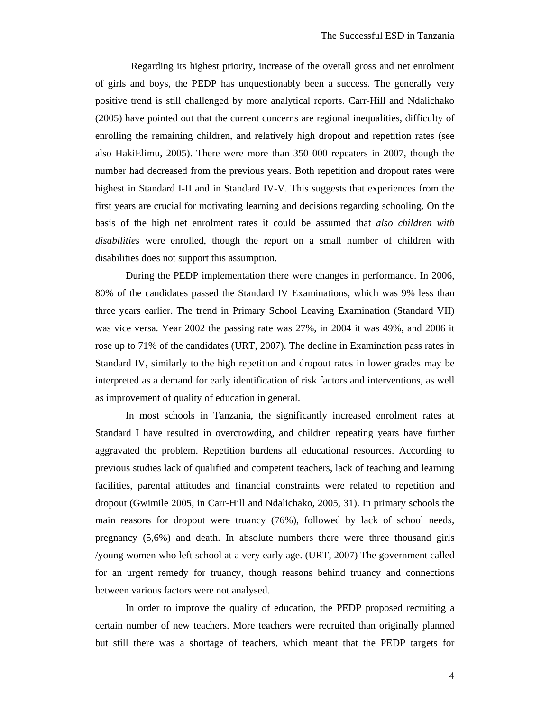Regarding its highest priority, increase of the overall gross and net enrolment of girls and boys, the PEDP has unquestionably been a success. The generally very positive trend is still challenged by more analytical reports. Carr-Hill and Ndalichako (2005) have pointed out that the current concerns are regional inequalities, difficulty of enrolling the remaining children, and relatively high dropout and repetition rates (see also HakiElimu, 2005). There were more than 350 000 repeaters in 2007, though the number had decreased from the previous years. Both repetition and dropout rates were highest in Standard I-II and in Standard IV-V. This suggests that experiences from the first years are crucial for motivating learning and decisions regarding schooling. On the basis of the high net enrolment rates it could be assumed that *also children with disabilities* were enrolled, though the report on a small number of children with disabilities does not support this assumption.

During the PEDP implementation there were changes in performance. In 2006, 80% of the candidates passed the Standard IV Examinations, which was 9% less than three years earlier. The trend in Primary School Leaving Examination (Standard VII) was vice versa. Year 2002 the passing rate was 27%, in 2004 it was 49%, and 2006 it rose up to 71% of the candidates (URT, 2007). The decline in Examination pass rates in Standard IV, similarly to the high repetition and dropout rates in lower grades may be interpreted as a demand for early identification of risk factors and interventions, as well as improvement of quality of education in general.

In most schools in Tanzania, the significantly increased enrolment rates at Standard I have resulted in overcrowding, and children repeating years have further aggravated the problem. Repetition burdens all educational resources. According to previous studies lack of qualified and competent teachers, lack of teaching and learning facilities, parental attitudes and financial constraints were related to repetition and dropout (Gwimile 2005, in Carr-Hill and Ndalichako, 2005, 31). In primary schools the main reasons for dropout were truancy (76%), followed by lack of school needs, pregnancy (5,6%) and death. In absolute numbers there were three thousand girls /young women who left school at a very early age. (URT, 2007) The government called for an urgent remedy for truancy, though reasons behind truancy and connections between various factors were not analysed.

In order to improve the quality of education, the PEDP proposed recruiting a certain number of new teachers. More teachers were recruited than originally planned but still there was a shortage of teachers, which meant that the PEDP targets for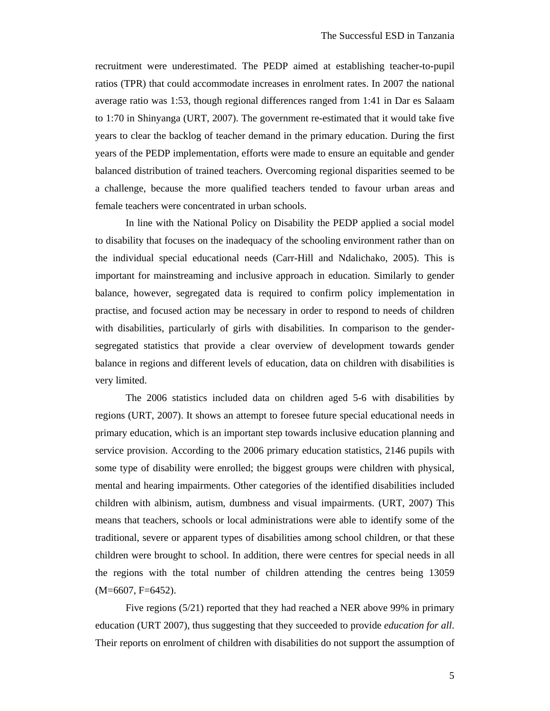recruitment were underestimated. The PEDP aimed at establishing teacher-to-pupil ratios (TPR) that could accommodate increases in enrolment rates. In 2007 the national average ratio was 1:53, though regional differences ranged from 1:41 in Dar es Salaam to 1:70 in Shinyanga (URT, 2007). The government re-estimated that it would take five years to clear the backlog of teacher demand in the primary education. During the first years of the PEDP implementation, efforts were made to ensure an equitable and gender balanced distribution of trained teachers. Overcoming regional disparities seemed to be a challenge, because the more qualified teachers tended to favour urban areas and female teachers were concentrated in urban schools.

In line with the National Policy on Disability the PEDP applied a social model to disability that focuses on the inadequacy of the schooling environment rather than on the individual special educational needs (Carr-Hill and Ndalichako, 2005). This is important for mainstreaming and inclusive approach in education. Similarly to gender balance, however, segregated data is required to confirm policy implementation in practise, and focused action may be necessary in order to respond to needs of children with disabilities, particularly of girls with disabilities. In comparison to the gendersegregated statistics that provide a clear overview of development towards gender balance in regions and different levels of education, data on children with disabilities is very limited.

The 2006 statistics included data on children aged 5-6 with disabilities by regions (URT, 2007). It shows an attempt to foresee future special educational needs in primary education, which is an important step towards inclusive education planning and service provision. According to the 2006 primary education statistics, 2146 pupils with some type of disability were enrolled; the biggest groups were children with physical, mental and hearing impairments. Other categories of the identified disabilities included children with albinism, autism, dumbness and visual impairments. (URT, 2007) This means that teachers, schools or local administrations were able to identify some of the traditional, severe or apparent types of disabilities among school children, or that these children were brought to school. In addition, there were centres for special needs in all the regions with the total number of children attending the centres being 13059 (M=6607, F=6452).

Five regions (5/21) reported that they had reached a NER above 99% in primary education (URT 2007), thus suggesting that they succeeded to provide *education for all*. Their reports on enrolment of children with disabilities do not support the assumption of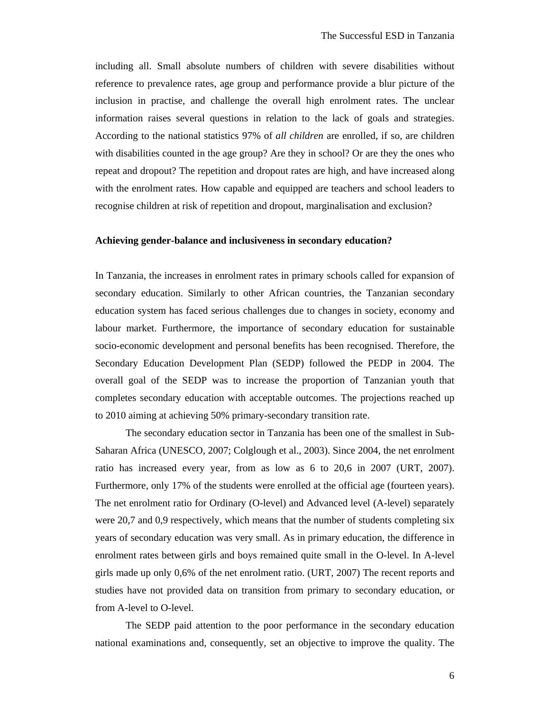including all. Small absolute numbers of children with severe disabilities without reference to prevalence rates, age group and performance provide a blur picture of the inclusion in practise, and challenge the overall high enrolment rates. The unclear information raises several questions in relation to the lack of goals and strategies. According to the national statistics 97% of *all children* are enrolled, if so, are children with disabilities counted in the age group? Are they in school? Or are they the ones who repeat and dropout? The repetition and dropout rates are high, and have increased along with the enrolment rates. How capable and equipped are teachers and school leaders to recognise children at risk of repetition and dropout, marginalisation and exclusion?

#### **Achieving gender-balance and inclusiveness in secondary education?**

In Tanzania, the increases in enrolment rates in primary schools called for expansion of secondary education. Similarly to other African countries, the Tanzanian secondary education system has faced serious challenges due to changes in society, economy and labour market. Furthermore, the importance of secondary education for sustainable socio-economic development and personal benefits has been recognised. Therefore, the Secondary Education Development Plan (SEDP) followed the PEDP in 2004. The overall goal of the SEDP was to increase the proportion of Tanzanian youth that completes secondary education with acceptable outcomes. The projections reached up to 2010 aiming at achieving 50% primary-secondary transition rate.

The secondary education sector in Tanzania has been one of the smallest in Sub-Saharan Africa (UNESCO, 2007; Colglough et al., 2003). Since 2004, the net enrolment ratio has increased every year, from as low as 6 to 20,6 in 2007 (URT, 2007). Furthermore, only 17% of the students were enrolled at the official age (fourteen years). The net enrolment ratio for Ordinary (O-level) and Advanced level (A-level) separately were 20,7 and 0,9 respectively, which means that the number of students completing six years of secondary education was very small. As in primary education, the difference in enrolment rates between girls and boys remained quite small in the O-level. In A-level girls made up only 0,6% of the net enrolment ratio. (URT, 2007) The recent reports and studies have not provided data on transition from primary to secondary education, or from A-level to O-level.

The SEDP paid attention to the poor performance in the secondary education national examinations and, consequently, set an objective to improve the quality. The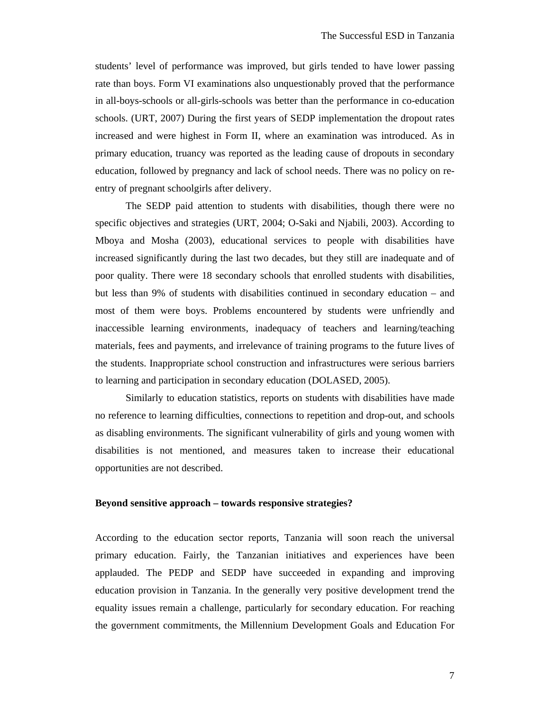students' level of performance was improved, but girls tended to have lower passing rate than boys. Form VI examinations also unquestionably proved that the performance in all-boys-schools or all-girls-schools was better than the performance in co-education schools. (URT, 2007) During the first years of SEDP implementation the dropout rates increased and were highest in Form II, where an examination was introduced. As in primary education, truancy was reported as the leading cause of dropouts in secondary education, followed by pregnancy and lack of school needs. There was no policy on reentry of pregnant schoolgirls after delivery.

The SEDP paid attention to students with disabilities, though there were no specific objectives and strategies (URT, 2004; O-Saki and Njabili, 2003). According to Mboya and Mosha (2003), educational services to people with disabilities have increased significantly during the last two decades, but they still are inadequate and of poor quality. There were 18 secondary schools that enrolled students with disabilities, but less than 9% of students with disabilities continued in secondary education – and most of them were boys. Problems encountered by students were unfriendly and inaccessible learning environments, inadequacy of teachers and learning/teaching materials, fees and payments, and irrelevance of training programs to the future lives of the students. Inappropriate school construction and infrastructures were serious barriers to learning and participation in secondary education (DOLASED, 2005).

Similarly to education statistics, reports on students with disabilities have made no reference to learning difficulties, connections to repetition and drop-out, and schools as disabling environments. The significant vulnerability of girls and young women with disabilities is not mentioned, and measures taken to increase their educational opportunities are not described.

## **Beyond sensitive approach – towards responsive strategies?**

According to the education sector reports, Tanzania will soon reach the universal primary education. Fairly, the Tanzanian initiatives and experiences have been applauded. The PEDP and SEDP have succeeded in expanding and improving education provision in Tanzania. In the generally very positive development trend the equality issues remain a challenge, particularly for secondary education. For reaching the government commitments, the Millennium Development Goals and Education For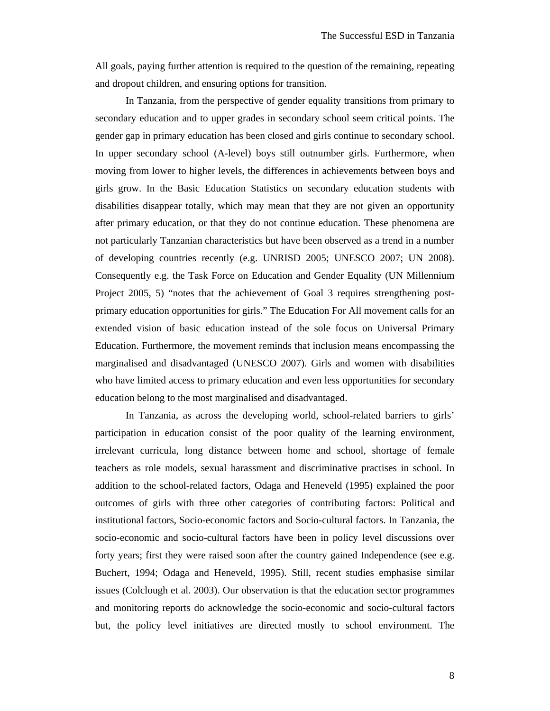All goals, paying further attention is required to the question of the remaining, repeating and dropout children, and ensuring options for transition.

In Tanzania, from the perspective of gender equality transitions from primary to secondary education and to upper grades in secondary school seem critical points. The gender gap in primary education has been closed and girls continue to secondary school. In upper secondary school (A-level) boys still outnumber girls. Furthermore, when moving from lower to higher levels, the differences in achievements between boys and girls grow. In the Basic Education Statistics on secondary education students with disabilities disappear totally, which may mean that they are not given an opportunity after primary education, or that they do not continue education. These phenomena are not particularly Tanzanian characteristics but have been observed as a trend in a number of developing countries recently (e.g. UNRISD 2005; UNESCO 2007; UN 2008). Consequently e.g. the Task Force on Education and Gender Equality (UN Millennium Project 2005, 5) "notes that the achievement of Goal 3 requires strengthening postprimary education opportunities for girls." The Education For All movement calls for an extended vision of basic education instead of the sole focus on Universal Primary Education. Furthermore, the movement reminds that inclusion means encompassing the marginalised and disadvantaged (UNESCO 2007). Girls and women with disabilities who have limited access to primary education and even less opportunities for secondary education belong to the most marginalised and disadvantaged.

In Tanzania, as across the developing world, school-related barriers to girls' participation in education consist of the poor quality of the learning environment, irrelevant curricula, long distance between home and school, shortage of female teachers as role models, sexual harassment and discriminative practises in school. In addition to the school-related factors, Odaga and Heneveld (1995) explained the poor outcomes of girls with three other categories of contributing factors: Political and institutional factors, Socio-economic factors and Socio-cultural factors. In Tanzania, the socio-economic and socio-cultural factors have been in policy level discussions over forty years; first they were raised soon after the country gained Independence (see e.g. Buchert, 1994; Odaga and Heneveld, 1995). Still, recent studies emphasise similar issues (Colclough et al. 2003). Our observation is that the education sector programmes and monitoring reports do acknowledge the socio-economic and socio-cultural factors but, the policy level initiatives are directed mostly to school environment. The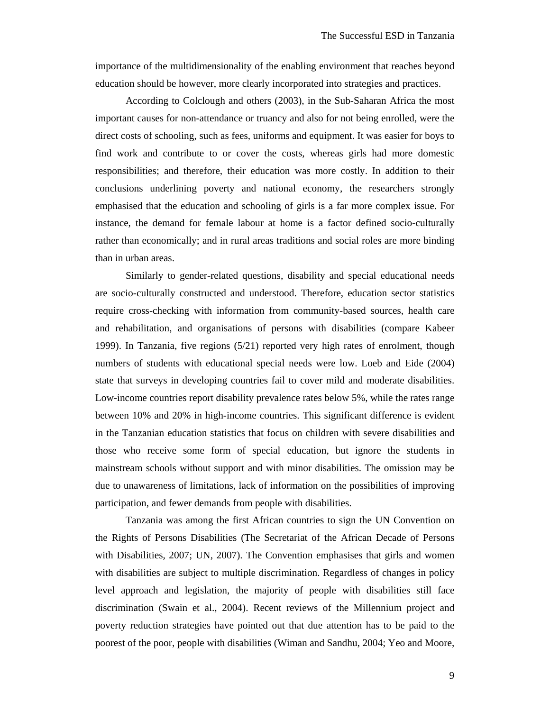importance of the multidimensionality of the enabling environment that reaches beyond education should be however, more clearly incorporated into strategies and practices.

According to Colclough and others (2003), in the Sub-Saharan Africa the most important causes for non-attendance or truancy and also for not being enrolled, were the direct costs of schooling, such as fees, uniforms and equipment. It was easier for boys to find work and contribute to or cover the costs, whereas girls had more domestic responsibilities; and therefore, their education was more costly. In addition to their conclusions underlining poverty and national economy, the researchers strongly emphasised that the education and schooling of girls is a far more complex issue. For instance, the demand for female labour at home is a factor defined socio-culturally rather than economically; and in rural areas traditions and social roles are more binding than in urban areas.

Similarly to gender-related questions, disability and special educational needs are socio-culturally constructed and understood. Therefore, education sector statistics require cross-checking with information from community-based sources, health care and rehabilitation, and organisations of persons with disabilities (compare Kabeer 1999). In Tanzania, five regions (5/21) reported very high rates of enrolment, though numbers of students with educational special needs were low. Loeb and Eide (2004) state that surveys in developing countries fail to cover mild and moderate disabilities. Low-income countries report disability prevalence rates below 5%, while the rates range between 10% and 20% in high-income countries. This significant difference is evident in the Tanzanian education statistics that focus on children with severe disabilities and those who receive some form of special education, but ignore the students in mainstream schools without support and with minor disabilities. The omission may be due to unawareness of limitations, lack of information on the possibilities of improving participation, and fewer demands from people with disabilities.

Tanzania was among the first African countries to sign the UN Convention on the Rights of Persons Disabilities (The Secretariat of the African Decade of Persons with Disabilities, 2007; UN, 2007). The Convention emphasises that girls and women with disabilities are subject to multiple discrimination. Regardless of changes in policy level approach and legislation, the majority of people with disabilities still face discrimination (Swain et al., 2004). Recent reviews of the Millennium project and poverty reduction strategies have pointed out that due attention has to be paid to the poorest of the poor, people with disabilities (Wiman and Sandhu, 2004; Yeo and Moore,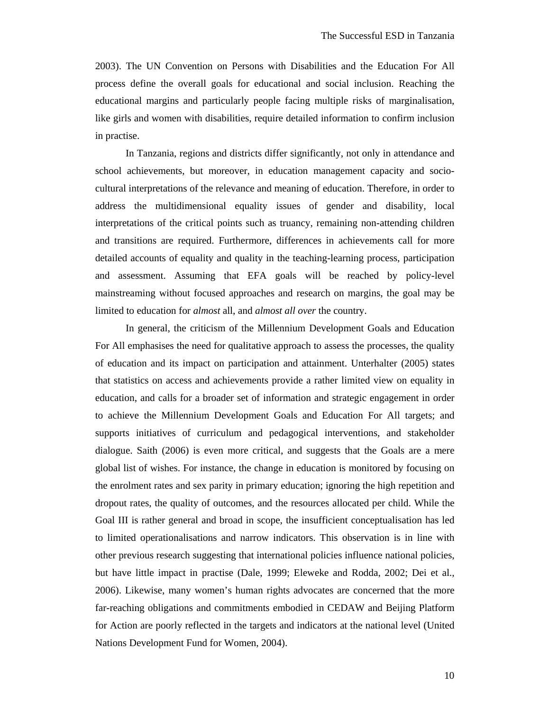2003). The UN Convention on Persons with Disabilities and the Education For All process define the overall goals for educational and social inclusion. Reaching the educational margins and particularly people facing multiple risks of marginalisation, like girls and women with disabilities, require detailed information to confirm inclusion in practise.

In Tanzania, regions and districts differ significantly, not only in attendance and school achievements, but moreover, in education management capacity and sociocultural interpretations of the relevance and meaning of education. Therefore, in order to address the multidimensional equality issues of gender and disability, local interpretations of the critical points such as truancy, remaining non-attending children and transitions are required. Furthermore, differences in achievements call for more detailed accounts of equality and quality in the teaching-learning process, participation and assessment. Assuming that EFA goals will be reached by policy-level mainstreaming without focused approaches and research on margins, the goal may be limited to education for *almost* all, and *almost all over* the country.

In general, the criticism of the Millennium Development Goals and Education For All emphasises the need for qualitative approach to assess the processes, the quality of education and its impact on participation and attainment. Unterhalter (2005) states that statistics on access and achievements provide a rather limited view on equality in education, and calls for a broader set of information and strategic engagement in order to achieve the Millennium Development Goals and Education For All targets; and supports initiatives of curriculum and pedagogical interventions, and stakeholder dialogue. Saith (2006) is even more critical, and suggests that the Goals are a mere global list of wishes. For instance, the change in education is monitored by focusing on the enrolment rates and sex parity in primary education; ignoring the high repetition and dropout rates, the quality of outcomes, and the resources allocated per child. While the Goal III is rather general and broad in scope, the insufficient conceptualisation has led to limited operationalisations and narrow indicators. This observation is in line with other previous research suggesting that international policies influence national policies, but have little impact in practise (Dale, 1999; Eleweke and Rodda, 2002; Dei et al., 2006). Likewise, many women's human rights advocates are concerned that the more far-reaching obligations and commitments embodied in CEDAW and Beijing Platform for Action are poorly reflected in the targets and indicators at the national level (United Nations Development Fund for Women, 2004).

10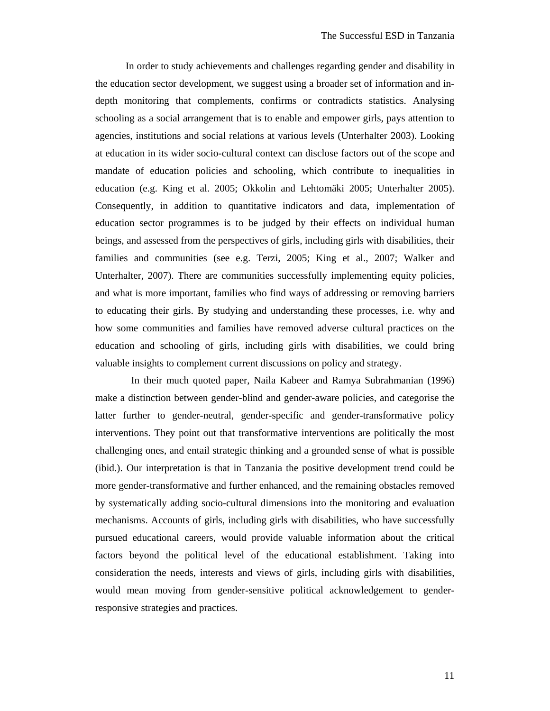In order to study achievements and challenges regarding gender and disability in the education sector development, we suggest using a broader set of information and indepth monitoring that complements, confirms or contradicts statistics. Analysing schooling as a social arrangement that is to enable and empower girls, pays attention to agencies, institutions and social relations at various levels (Unterhalter 2003). Looking at education in its wider socio-cultural context can disclose factors out of the scope and mandate of education policies and schooling, which contribute to inequalities in education (e.g. King et al. 2005; Okkolin and Lehtomäki 2005; Unterhalter 2005). Consequently, in addition to quantitative indicators and data, implementation of education sector programmes is to be judged by their effects on individual human beings, and assessed from the perspectives of girls, including girls with disabilities, their families and communities (see e.g. Terzi, 2005; King et al., 2007; Walker and Unterhalter, 2007). There are communities successfully implementing equity policies, and what is more important, families who find ways of addressing or removing barriers to educating their girls. By studying and understanding these processes, i.e. why and how some communities and families have removed adverse cultural practices on the education and schooling of girls, including girls with disabilities, we could bring valuable insights to complement current discussions on policy and strategy.

In their much quoted paper, Naila Kabeer and Ramya Subrahmanian (1996) make a distinction between gender-blind and gender-aware policies, and categorise the latter further to gender-neutral, gender-specific and gender-transformative policy interventions. They point out that transformative interventions are politically the most challenging ones, and entail strategic thinking and a grounded sense of what is possible (ibid.). Our interpretation is that in Tanzania the positive development trend could be more gender-transformative and further enhanced, and the remaining obstacles removed by systematically adding socio-cultural dimensions into the monitoring and evaluation mechanisms. Accounts of girls, including girls with disabilities, who have successfully pursued educational careers, would provide valuable information about the critical factors beyond the political level of the educational establishment. Taking into consideration the needs, interests and views of girls, including girls with disabilities, would mean moving from gender-sensitive political acknowledgement to genderresponsive strategies and practices.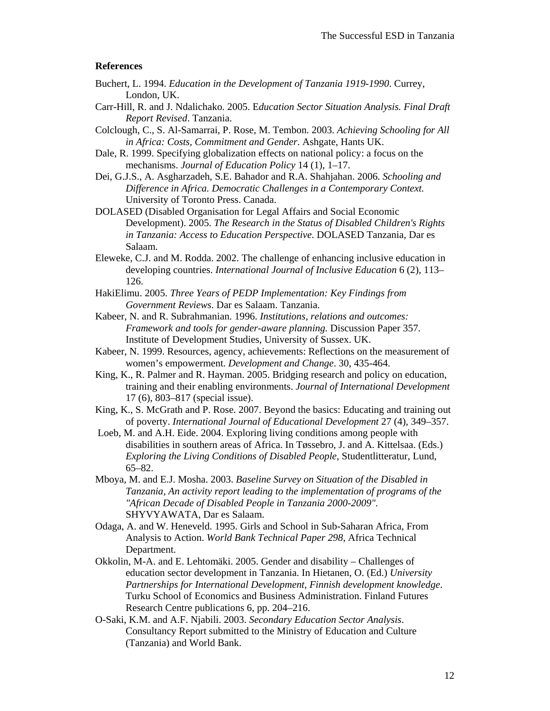#### **References**

- Buchert, L. 1994. *Education in the Development of Tanzania 1919-1990*. Currey, London, UK.
- Carr-Hill, R. and J. Ndalichako. 2005. E*ducation Sector Situation Analysis. Final Draft Report Revised*. Tanzania.
- Colclough, C., S. Al-Samarrai, P. Rose, M. Tembon. 2003. *Achieving Schooling for All in Africa: Costs, Commitment and Gender*. Ashgate, Hants UK.
- Dale, R. 1999. Specifying globalization effects on national policy: a focus on the mechanisms. *Journal of Education Policy* 14 (1), 1–17.
- Dei, G.J.S., A. Asgharzadeh, S.E. Bahador and R.A. Shahjahan. 2006. *Schooling and Difference in Africa. Democratic Challenges in a Contemporary Context*. University of Toronto Press. Canada.
- DOLASED (Disabled Organisation for Legal Affairs and Social Economic Development). 2005. *The Research in the Status of Disabled Children's Rights in Tanzania: Access to Education Perspective*. DOLASED Tanzania, Dar es Salaam.
- Eleweke, C.J. and M. Rodda. 2002. The challenge of enhancing inclusive education in developing countries. *International Journal of Inclusive Education* 6 (2), 113– 126.
- HakiElimu. 2005. *Three Years of PEDP Implementation: Key Findings from Government Reviews*. Dar es Salaam. Tanzania.
- Kabeer, N. and R. Subrahmanian. 1996. *Institutions, relations and outcomes: Framework and tools for gender-aware planning.* Discussion Paper 357. Institute of Development Studies, University of Sussex. UK.
- Kabeer, N. 1999. Resources, agency, achievements: Reflections on the measurement of women's empowerment. *Development and Change*. 30, 435-464.
- King, K., R. Palmer and R. Hayman. 2005. Bridging research and policy on education, training and their enabling environments. *Journal of International Development* 17 (6), 803–817 (special issue).
- King, K., S. McGrath and P. Rose. 2007. Beyond the basics: Educating and training out of poverty. *International Journal of Educational Development* 27 (4), 349–357.
- Loeb, M. and A.H. Eide. 2004. Exploring living conditions among people with disabilities in southern areas of Africa. In Tøssebro, J. and A. Kittelsaa. (Eds.) *Exploring the Living Conditions of Disabled People,* Studentlitteratur, Lund, 65–82.
- Mboya, M. and E.J. Mosha. 2003. *Baseline Survey on Situation of the Disabled in Tanzania, An activity report leading to the implementation of programs of the "African Decade of Disabled People in Tanzania 2000-2009"*. SHYVYAWATA, Dar es Salaam.
- Odaga, A. and W. Heneveld. 1995. Girls and School in Sub-Saharan Africa, From Analysis to Action. *World Bank Technical Paper 298*, Africa Technical Department.
- Okkolin, M-A. and E. Lehtomäki. 2005. Gender and disability Challenges of education sector development in Tanzania. In Hietanen, O. (Ed.) *University Partnerships for International Development, Finnish development knowledge*. Turku School of Economics and Business Administration. Finland Futures Research Centre publications 6, pp. 204–216.
- O-Saki, K.M. and A.F. Njabili. 2003. *Secondary Education Sector Analysis*. Consultancy Report submitted to the Ministry of Education and Culture (Tanzania) and World Bank.